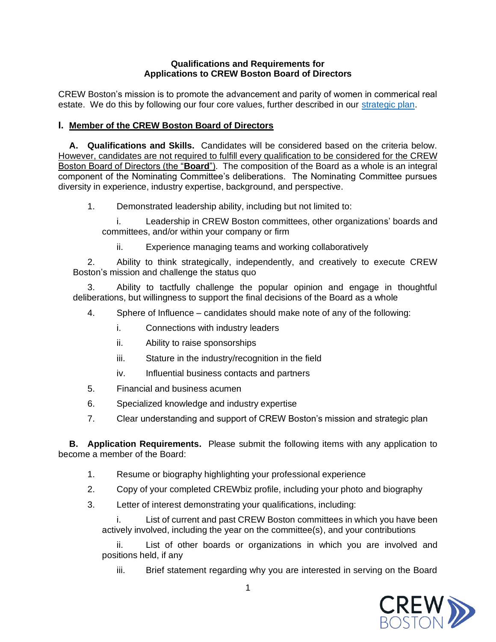## **Qualifications and Requirements for Applications to CREW Boston Board of Directors**

CREW Boston's mission is to promote the advancement and parity of women in commerical real estate. We do this by following our four core values, further described in our [strategic plan.](https://www.crewboston.org/getattachment/About/Governance/2019-CREW-Boston-Strategic-Plan-Members.pdf.aspx)

## **I. Member of the CREW Boston Board of Directors**

**A. Qualifications and Skills.** Candidates will be considered based on the criteria below. However, candidates are not required to fulfill every qualification to be considered for the CREW Boston Board of Directors (the "**Board**"). The composition of the Board as a whole is an integral component of the Nominating Committee's deliberations. The Nominating Committee pursues diversity in experience, industry expertise, background, and perspective.

1. Demonstrated leadership ability, including but not limited to:

i. Leadership in CREW Boston committees, other organizations' boards and committees, and/or within your company or firm

ii. Experience managing teams and working collaboratively

2. Ability to think strategically, independently, and creatively to execute CREW Boston's mission and challenge the status quo

3. Ability to tactfully challenge the popular opinion and engage in thoughtful deliberations, but willingness to support the final decisions of the Board as a whole

4. Sphere of Influence – candidates should make note of any of the following:

- i. Connections with industry leaders
- ii. Ability to raise sponsorships
- iii. Stature in the industry/recognition in the field
- iv. Influential business contacts and partners
- 5. Financial and business acumen
- 6. Specialized knowledge and industry expertise
- 7. Clear understanding and support of CREW Boston's mission and strategic plan

**B. Application Requirements.** Please submit the following items with any application to become a member of the Board:

- 1. Resume or biography highlighting your professional experience
- 2. Copy of your completed CREWbiz profile, including your photo and biography
- 3. Letter of interest demonstrating your qualifications, including:

i. List of current and past CREW Boston committees in which you have been actively involved, including the year on the committee(s), and your contributions

ii. List of other boards or organizations in which you are involved and positions held, if any

iii. Brief statement regarding why you are interested in serving on the Board

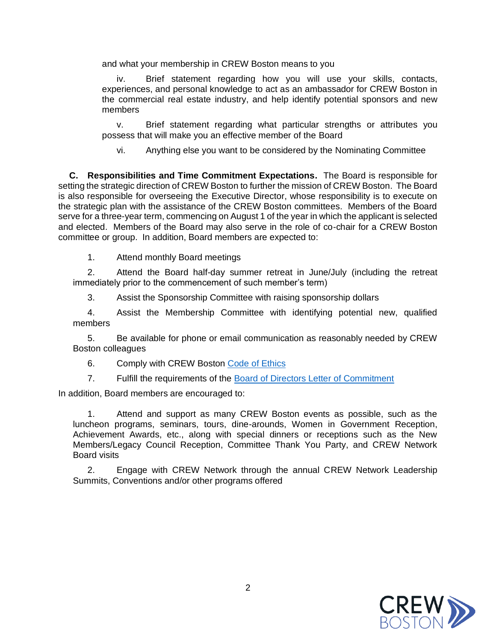and what your membership in CREW Boston means to you

iv. Brief statement regarding how you will use your skills, contacts, experiences, and personal knowledge to act as an ambassador for CREW Boston in the commercial real estate industry, and help identify potential sponsors and new members

v. Brief statement regarding what particular strengths or attributes you possess that will make you an effective member of the Board

vi. Anything else you want to be considered by the Nominating Committee

**C. Responsibilities and Time Commitment Expectations.** The Board is responsible for setting the strategic direction of CREW Boston to further the mission of CREW Boston. The Board is also responsible for overseeing the Executive Director, whose responsibility is to execute on the strategic plan with the assistance of the CREW Boston committees. Members of the Board serve for a three-year term, commencing on August 1 of the year in which the applicant is selected and elected. Members of the Board may also serve in the role of co-chair for a CREW Boston committee or group. In addition, Board members are expected to:

1. Attend monthly Board meetings

2. Attend the Board half-day summer retreat in June/July (including the retreat immediately prior to the commencement of such member's term)

3. Assist the Sponsorship Committee with raising sponsorship dollars

4. Assist the Membership Committee with identifying potential new, qualified members

5. Be available for phone or email communication as reasonably needed by CREW Boston colleagues

6. Comply with CREW Boston [Code of Ethics](https://www.crewboston.org/getattachment/About/Governance/Code-of-Ethics-CREW-Boston_October2020.pdf.aspx)

7. Fulfill the requirements of the [Board of Directors Letter of Commitment](https://www.crewboston.org/getattachment/About/Governance/CREW-Boston-BOD-Commitment-Letter_FINAL.pdf.aspx)

In addition, Board members are encouraged to:

1. Attend and support as many CREW Boston events as possible, such as the luncheon programs, seminars, tours, dine-arounds, Women in Government Reception, Achievement Awards, etc., along with special dinners or receptions such as the New Members/Legacy Council Reception, Committee Thank You Party, and CREW Network Board visits

2. Engage with CREW Network through the annual CREW Network Leadership Summits, Conventions and/or other programs offered

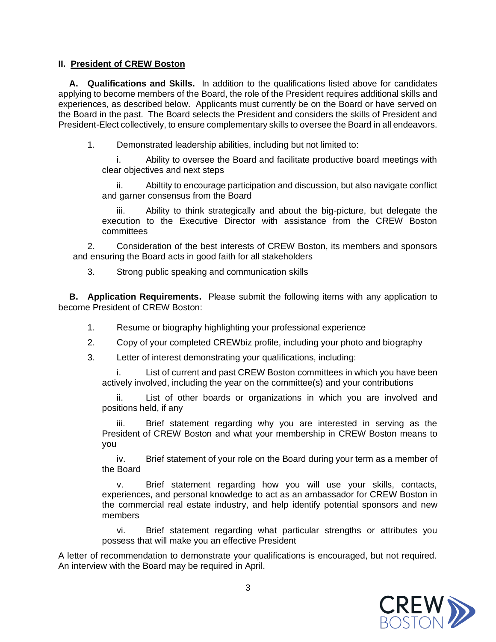## **II. President of CREW Boston**

**A. Qualifications and Skills.** In addition to the qualifications listed above for candidates applying to become members of the Board, the role of the President requires additional skills and experiences, as described below. Applicants must currently be on the Board or have served on the Board in the past. The Board selects the President and considers the skills of President and President-Elect collectively, to ensure complementary skills to oversee the Board in all endeavors.

1. Demonstrated leadership abilities, including but not limited to:

i. Ability to oversee the Board and facilitate productive board meetings with clear objectives and next steps

ii. Abiltity to encourage participation and discussion, but also navigate conflict and garner consensus from the Board

iii. Ability to think strategically and about the big-picture, but delegate the execution to the Executive Director with assistance from the CREW Boston committees

2. Consideration of the best interests of CREW Boston, its members and sponsors and ensuring the Board acts in good faith for all stakeholders

3. Strong public speaking and communication skills

**B. Application Requirements.** Please submit the following items with any application to become President of CREW Boston:

- 1. Resume or biography highlighting your professional experience
- 2. Copy of your completed CREWbiz profile, including your photo and biography
- 3. Letter of interest demonstrating your qualifications, including:

List of current and past CREW Boston committees in which you have been actively involved, including the year on the committee(s) and your contributions

ii. List of other boards or organizations in which you are involved and positions held, if any

Brief statement regarding why you are interested in serving as the President of CREW Boston and what your membership in CREW Boston means to you

iv. Brief statement of your role on the Board during your term as a member of the Board

v. Brief statement regarding how you will use your skills, contacts, experiences, and personal knowledge to act as an ambassador for CREW Boston in the commercial real estate industry, and help identify potential sponsors and new members

vi. Brief statement regarding what particular strengths or attributes you possess that will make you an effective President

A letter of recommendation to demonstrate your qualifications is encouraged, but not required. An interview with the Board may be required in April.